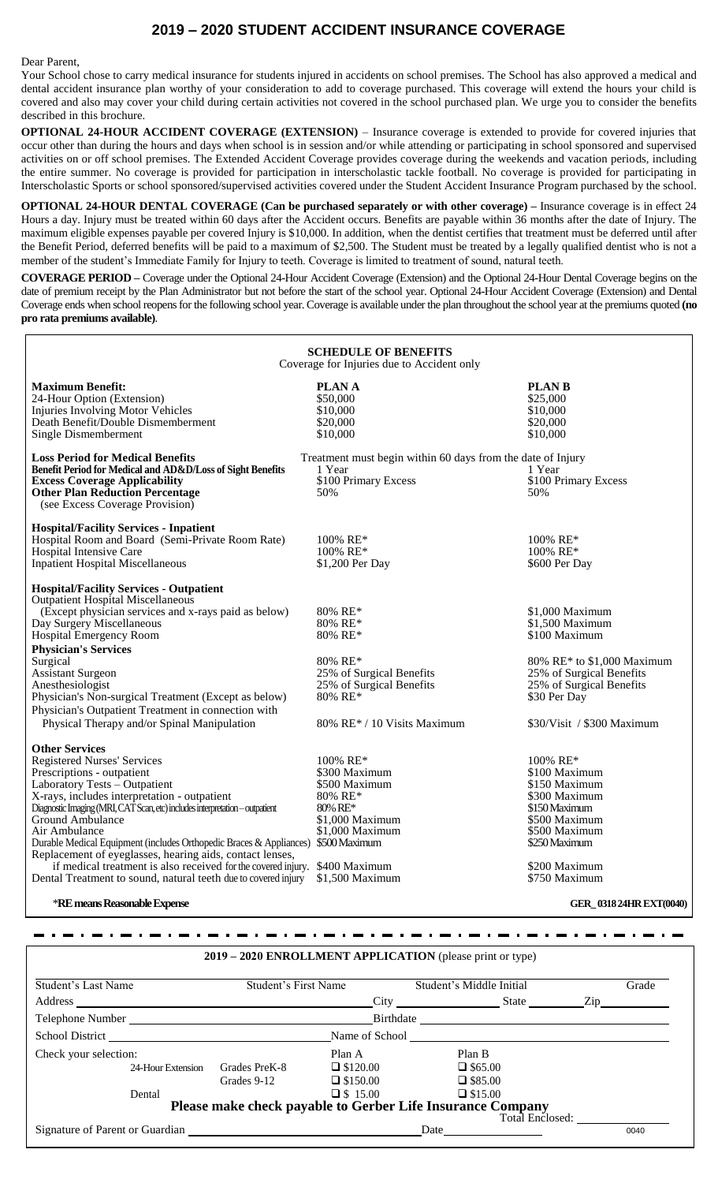## **2019 – 2020 STUDENT ACCIDENT INSURANCE COVERAGE**

Dear Parent,

Your School chose to carry medical insurance for students injured in accidents on school premises. The School has also approved a medical and dental accident insurance plan worthy of your consideration to add to coverage purchased. This coverage will extend the hours your child is covered and also may cover your child during certain activities not covered in the school purchased plan. We urge you to consider the benefits described in this brochure.

**OPTIONAL 24-HOUR ACCIDENT COVERAGE (EXTENSION)** – Insurance coverage is extended to provide for covered injuries that occur other than during the hours and days when school is in session and/or while attending or participating in school sponsored and supervised activities on or off school premises. The Extended Accident Coverage provides coverage during the weekends and vacation periods, including the entire summer. No coverage is provided for participation in interscholastic tackle football. No coverage is provided for participating in Interscholastic Sports or school sponsored/supervised activities covered under the Student Accident Insurance Program purchased by the school.

**OPTIONAL 24-HOUR DENTAL COVERAGE (Can be purchased separately or with other coverage) –** Insurance coverage is in effect 24 Hours a day. Injury must be treated within 60 days after the Accident occurs. Benefits are payable within 36 months after the date of Injury. The maximum eligible expenses payable per covered Injury is \$10,000. In addition, when the dentist certifies that treatment must be deferred until after the Benefit Period, deferred benefits will be paid to a maximum of \$2,500. The Student must be treated by a legally qualified dentist who is not a member of the student's Immediate Family for Injury to teeth. Coverage is limited to treatment of sound, natural teeth.

**COVERAGE PERIOD –** Coverage under the Optional 24-Hour Accident Coverage (Extension) and the Optional 24-Hour Dental Coverage begins on the date of premium receipt by the Plan Administrator but not before the start of the school year. Optional 24-Hour Accident Coverage (Extension) and Dental Coverage ends when school reopens for the following school year. Coverage is available under the plan throughout the school year at the premiums quoted **(no pro rata premiums available)**.

| <b>SCHEDULE OF BENEFITS</b><br>Coverage for Injuries due to Accident only                                                                                                                                                                                                                                                                                                                                                                                                                                                                                                           |                                                                                                                                                              |                                                                                                                                                                                         |
|-------------------------------------------------------------------------------------------------------------------------------------------------------------------------------------------------------------------------------------------------------------------------------------------------------------------------------------------------------------------------------------------------------------------------------------------------------------------------------------------------------------------------------------------------------------------------------------|--------------------------------------------------------------------------------------------------------------------------------------------------------------|-----------------------------------------------------------------------------------------------------------------------------------------------------------------------------------------|
| <b>Maximum Benefit:</b><br>24-Hour Option (Extension)<br><b>Injuries Involving Motor Vehicles</b><br>Death Benefit/Double Dismemberment<br>Single Dismemberment                                                                                                                                                                                                                                                                                                                                                                                                                     | <b>PLANA</b><br>\$50,000<br>\$10,000<br>\$20,000<br>\$10,000                                                                                                 | <b>PLAN B</b><br>\$25,000<br>\$10,000<br>\$20,000<br>\$10,000                                                                                                                           |
| <b>Loss Period for Medical Benefits</b><br>Benefit Period for Medical and AD&D/Loss of Sight Benefits<br><b>Excess Coverage Applicability</b><br><b>Other Plan Reduction Percentage</b><br>(see Excess Coverage Provision)                                                                                                                                                                                                                                                                                                                                                          | Treatment must begin within 60 days from the date of Injury<br>1 Year<br>\$100 Primary Excess<br>50%                                                         | 1 Year<br>\$100 Primary Excess<br>50%                                                                                                                                                   |
| <b>Hospital/Facility Services - Inpatient</b><br>Hospital Room and Board (Semi-Private Room Rate)<br>Hospital Intensive Care<br><b>Inpatient Hospital Miscellaneous</b>                                                                                                                                                                                                                                                                                                                                                                                                             | $100\%$ RE*<br>100% RE*<br>\$1,200 Per Day                                                                                                                   | $100\%$ RE*<br>100% RE*<br>\$600 Per Day                                                                                                                                                |
| <b>Hospital/Facility Services - Outpatient</b><br><b>Outpatient Hospital Miscellaneous</b><br>(Except physician services and x-rays paid as below)<br>Day Surgery Miscellaneous<br>Hospital Emergency Room<br><b>Physician's Services</b><br>Surgical<br><b>Assistant Surgeon</b><br>Anesthesiologist<br>Physician's Non-surgical Treatment (Except as below)<br>Physician's Outpatient Treatment in connection with<br>Physical Therapy and/or Spinal Manipulation                                                                                                                 | 80% RE*<br>80% RE*<br>$80\%$ RE*<br>80% RE*<br>25% of Surgical Benefits<br>25% of Surgical Benefits<br>80% RE*<br>$80\%$ RE <sup>*</sup> / 10 Visits Maximum | \$1,000 Maximum<br>\$1,500 Maximum<br>\$100 Maximum<br>80% RE* to \$1,000 Maximum<br>25% of Surgical Benefits<br>25% of Surgical Benefits<br>\$30 Per Day<br>\$30/Visit / \$300 Maximum |
| <b>Other Services</b><br><b>Registered Nurses' Services</b><br>Prescriptions - outpatient<br>Laboratory Tests - Outpatient<br>X-rays, includes interpretation - outpatient<br>Diagnostic Imaging (MRI, CAT Scan, etc) includes interpretation - outpatient<br>Ground Ambulance<br>Air Ambulance<br>Durable Medical Equipment (includes Orthopedic Braces & Appliances)<br>Replacement of eyeglasses, hearing aids, contact lenses,<br>if medical treatment is also received for the covered injury. \$400 Maximum<br>Dental Treatment to sound, natural teeth due to covered injury | 100% RE*<br>\$300 Maximum<br>\$500 Maximum<br>80% RE*<br>80% RE*<br>\$1,000 Maximum<br>\$1,000 Maximum<br>\$500 Maximum<br>$$1,500$ Maximum                  | $100\%$ RE*<br>\$100 Maximum<br>\$150 Maximum<br>\$300 Maximum<br>\$150 Maximum<br>\$500 Maximum<br>\$500 Maximum<br>\$250 Maximum<br>\$200 Maximum<br>\$750 Maximum                    |

\***RE means Reasonable Expense GER\_ 0318 24HR EXT(0040)**

**2019 – 2020 ENROLLMENT APPLICATION** (please print or type) Student's Last Name Student's First Name Student's Middle Initial Grade Address City State Zip Telephone Number Birthdate School District Name of School Name of School Check your selection: Plan A Plan B 24-Hour Extension Grades PreK-8  $\Box$  \$120.00  $\Box$  \$65.00 Grades 9-12  $\Box$  \$150.00  $\Box$  \$85.00 Dental  $\Box$  \$15.00  $\Box$  \$15.00 **Please make check payable to Gerber Life Insurance Company** Total Enclosed: Signature of Parent or Guardian 20040 20040 20040 20040 20040 20040 20040 20040 20040 20040 20040 20040 20040

 $\sim$   $\sim$   $-$